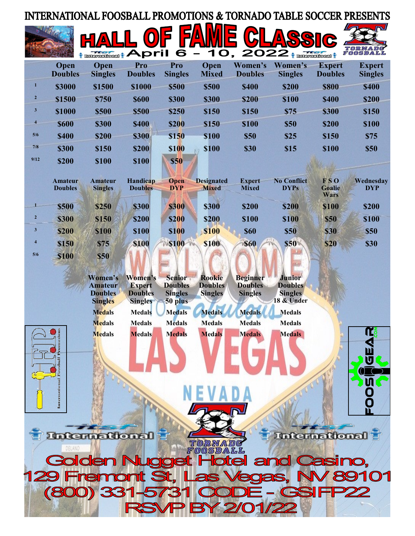## INTERNATIONAL FOOSBALL PROMOTIONS & TORNADO TABLE SOCCER PRESENTS



|                | <b>Open</b><br><b>Doubles</b> | <b>Open</b><br><b>Singles</b> | Pro<br><b>Doubles</b> | Pro<br><b>Singles</b> | Open<br><b>Mixed</b> | Women's<br><b>Doubles</b> | Women's<br><b>Singles</b> | <b>Expert</b><br><b>Doubles</b> | <b>Expert</b><br><b>Singles</b> |
|----------------|-------------------------------|-------------------------------|-----------------------|-----------------------|----------------------|---------------------------|---------------------------|---------------------------------|---------------------------------|
|                | \$3000                        | \$1500                        | \$1000                | <b>\$500</b>          | \$500                | <b>\$400</b>              | \$200                     | \$800                           | <b>\$400</b>                    |
| $\overline{2}$ | \$1500                        | \$750                         | <b>\$600</b>          | <b>\$300</b>          | \$300                | \$200                     | <b>\$100</b>              | <b>\$400</b>                    | \$200                           |
| $\mathbf{3}$   | <b>\$1000</b>                 | \$500                         | <b>\$500</b>          | <b>\$250</b>          | \$150                | \$150                     | <b>\$75</b>               | \$300                           | \$150                           |
| $\overline{4}$ | <b>\$600</b>                  | \$300                         | <b>\$400</b>          | <b>\$200</b>          | \$150                | <b>\$100</b>              | <b>\$50</b>               | \$200                           | <b>\$100</b>                    |
| 5/6            | <b>\$400</b>                  | \$200                         | <b>\$300</b>          | \$150                 | <b>\$100</b>         | <b>\$50</b>               | \$25                      | \$150                           | <b>\$75</b>                     |
| 7/8            | \$300                         | \$150                         | \$200                 | \$100                 | <b>\$100</b>         | <b>\$30</b>               | \$15                      | <b>\$100</b>                    | <b>\$50</b>                     |
| 9/12           | \$200                         | <b>\$100</b>                  | <b>\$100</b>          | <b>\$50</b>           |                      |                           |                           |                                 |                                 |

|                | <b>Amateur</b><br><b>Doubles</b> | <b>Amateur</b><br><b>Singles</b> | Handicap<br><b>Doubles</b> | <b>Open</b><br><b>DYP</b> | <b>Designated</b><br><b>Mixed</b> | <b>Expert</b><br><b>Mixed</b> | <b>No Conflict</b><br><b>DYPs</b> | <b>FSO</b><br><b>Goalie</b><br><b>Wars</b> | Wednesday<br><b>DYP</b> |
|----------------|----------------------------------|----------------------------------|----------------------------|---------------------------|-----------------------------------|-------------------------------|-----------------------------------|--------------------------------------------|-------------------------|
|                | <b>\$500</b>                     | \$250                            | <b>\$300</b>               | <b>\$300</b>              | \$300                             | \$200                         | \$200                             | <b>\$100</b>                               | \$200                   |
|                | <b>\$300</b>                     | \$150                            | <b>\$200</b>               | <b>\$200</b>              | \$200                             | <b>\$100</b>                  | <b>\$100</b>                      | <b>\$50</b>                                | \$100                   |
| 3              | <b>\$200</b>                     | <b>\$100</b>                     | <b>\$100</b>               | <b>\$100</b>              | <b>S100</b>                       | <b>\$60</b>                   | <b>\$50</b>                       | <b>\$30</b>                                | \$50                    |
| $\overline{4}$ | <b>\$150</b>                     | <b>\$75</b>                      | <b>\$100</b>               | <b>S100</b>               | <b>S100</b>                       | <b>\$60</b>                   | <b>\$50</b>                       | <b>\$20</b>                                | \$30                    |
| 5/6            | <b>S100</b>                      | <b>\$50</b>                      |                            |                           |                                   |                               |                                   |                                            |                         |

|   | Women's<br><b>Amateur</b><br><b>Doubles</b><br><b>Singles</b> | Women's<br><b>Expert</b><br><b>Doubles</b><br><b>Singles</b> | <b>Senior</b><br><b>Doubles</b><br><b>Singles</b><br>50 plus | <b>Rookie</b><br><b>Doubles</b><br><b>Singles</b> | <b>Beginner</b><br><b>Doubles</b><br><b>Singles</b> | <b>Junior</b><br><b>Doubles</b><br><b>Singles</b><br>18 & Under |   |
|---|---------------------------------------------------------------|--------------------------------------------------------------|--------------------------------------------------------------|---------------------------------------------------|-----------------------------------------------------|-----------------------------------------------------------------|---|
|   | <b>Medals</b>                                                 | <b>Medals</b>                                                | <b>Medals</b>                                                | <b>Medals</b>                                     | <b>Medals</b>                                       | <b>Medals</b>                                                   |   |
|   | <b>Medals</b>                                                 | <b>Medals</b>                                                | <b>Medals</b>                                                | <b>Medals</b>                                     | <b>Medals</b>                                       | <b>Medals</b>                                                   |   |
| ă | <b>Medals</b>                                                 | <b>Medals</b>                                                | <b>Medals</b>                                                | <b>Medals</b>                                     | <b>Medals</b>                                       | <b>Medals</b>                                                   |   |
|   |                                                               |                                                              |                                                              |                                                   |                                                     |                                                                 | n |

TORNADO

**lotel** 

**Enternational** 

**129 Fremont S** 

 $(800)$  331

**Golden Nugge** 

DELANO



and C

**asino.** 

01